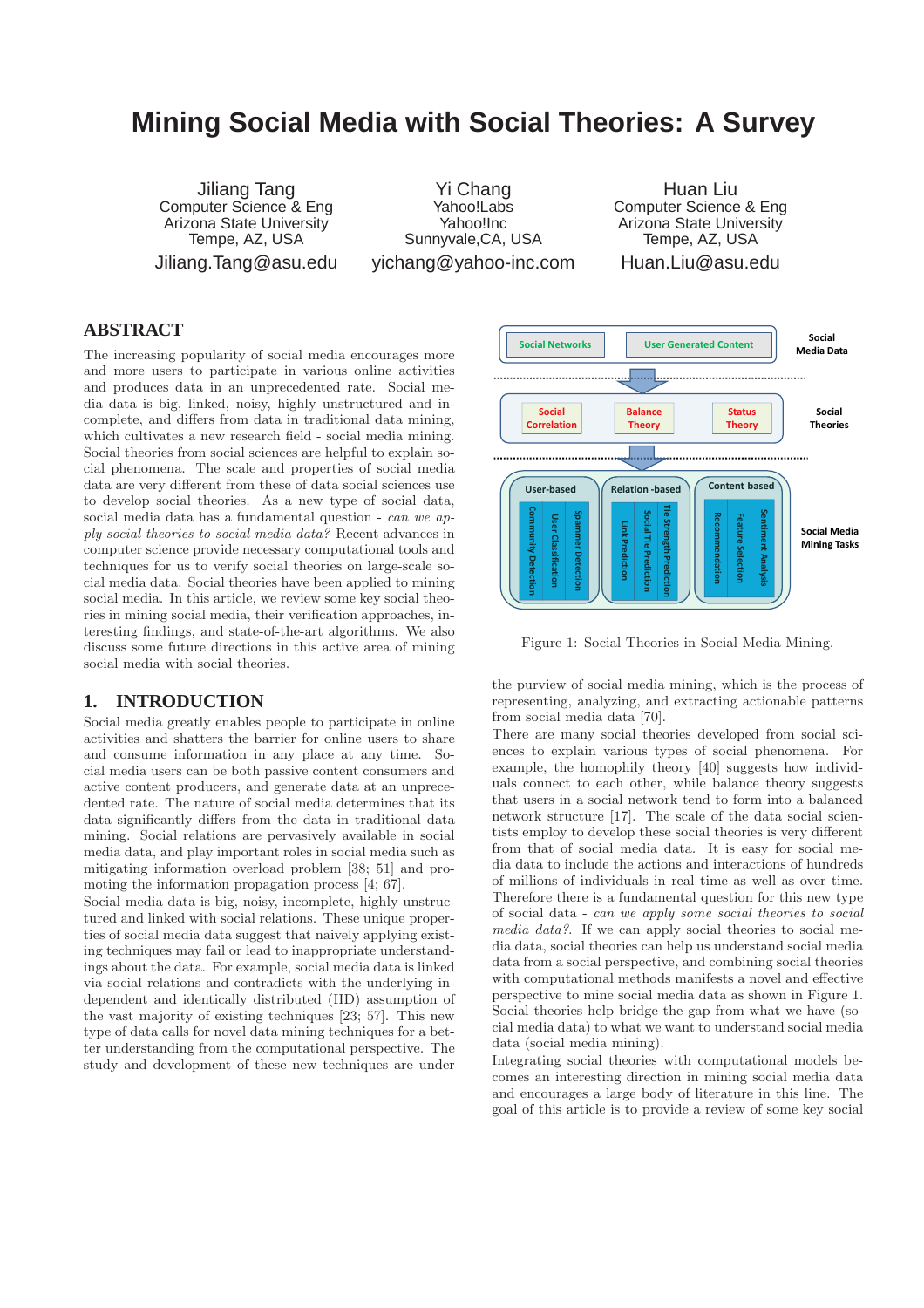# **Mining Social Media with Social Theories: A Survey**

Jiliang Tang Computer Science & Eng Arizona State University Tempe, AZ, USA Jiliang.Tang@asu.edu

Yi Chang Yahoo!Labs Yahoo!Inc Sunnyvale,CA, USA yichang@yahoo-inc.com

Huan Liu Computer Science & Eng Arizona State University Tempe, AZ, USA Huan.Liu@asu.edu

# **ABSTRACT**

The increasing popularity of social media encourages more and more users to participate in various online activities and produces data in an unprecedented rate. Social media data is big, linked, noisy, highly unstructured and incomplete, and differs from data in traditional data mining, which cultivates a new research field - social media mining. Social theories from social sciences are helpful to explain social phenomena. The scale and properties of social media data are very different from these of data social sciences use to develop social theories. As a new type of social data, social media data has a fundamental question - can we apply social theories to social media data? Recent advances in computer science provide necessary computational tools and techniques for us to verify social theories on large-scale social media data. Social theories have been applied to mining social media. In this article, we review some key social theories in mining social media, their verification approaches, interesting findings, and state-of-the-art algorithms. We also discuss some future directions in this active area of mining social media with social theories.

#### **1. INTRODUCTION**

Social media greatly enables people to participate in online activities and shatters the barrier for online users to share and consume information in any place at any time. Social media users can be both passive content consumers and active content producers, and generate data at an unprecedented rate. The nature of social media determines that its data significantly differs from the data in traditional data mining. Social relations are pervasively available in social media data, and play important roles in social media such as mitigating information overload problem [38; 51] and promoting the information propagation process [4; 67].

Social media data is big, noisy, incomplete, highly unstructured and linked with social relations. These unique properties of social media data suggest that naively applying existing techniques may fail or lead to inappropriate understandings about the data. For example, social media data is linked via social relations and contradicts with the underlying independent and identically distributed (IID) assumption of the vast majority of existing techniques [23; 57]. This new type of data calls for novel data mining techniques for a better understanding from the computational perspective. The study and development of these new techniques are under



Figure 1: Social Theories in Social Media Mining.

the purview of social media mining, which is the process of representing, analyzing, and extracting actionable patterns from social media data [70].

There are many social theories developed from social sciences to explain various types of social phenomena. For example, the homophily theory [40] suggests how individuals connect to each other, while balance theory suggests that users in a social network tend to form into a balanced network structure [17]. The scale of the data social scientists employ to develop these social theories is very different from that of social media data. It is easy for social media data to include the actions and interactions of hundreds of millions of individuals in real time as well as over time. Therefore there is a fundamental question for this new type of social data - can we apply some social theories to social media data?. If we can apply social theories to social media data, social theories can help us understand social media data from a social perspective, and combining social theories with computational methods manifests a novel and effective perspective to mine social media data as shown in Figure 1. Social theories help bridge the gap from what we have (social media data) to what we want to understand social media data (social media mining).

Integrating social theories with computational models becomes an interesting direction in mining social media data and encourages a large body of literature in this line. The goal of this article is to provide a review of some key social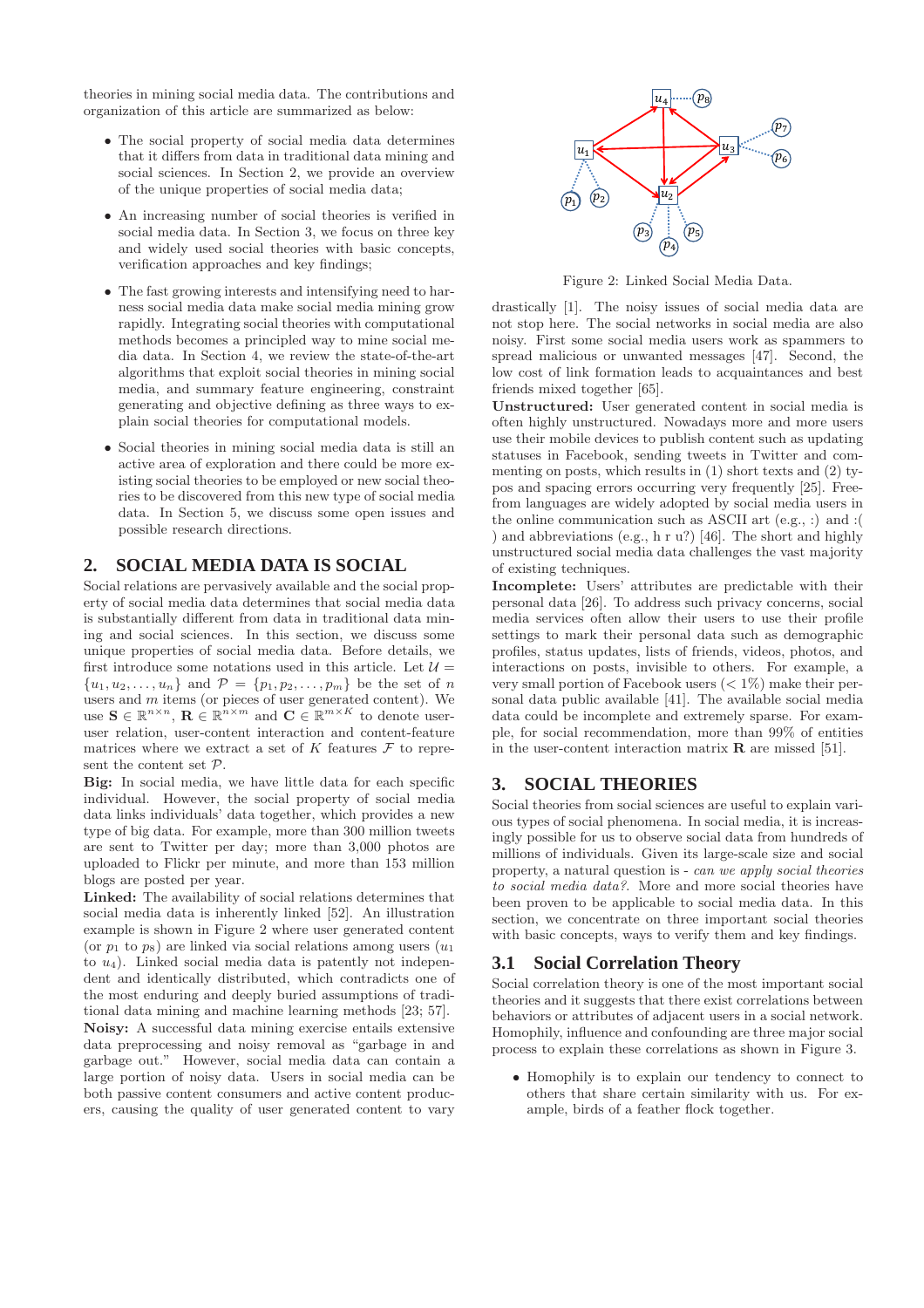theories in mining social media data. The contributions and organization of this article are summarized as below:

- The social property of social media data determines that it differs from data in traditional data mining and social sciences. In Section 2, we provide an overview of the unique properties of social media data;
- An increasing number of social theories is verified in social media data. In Section 3, we focus on three key and widely used social theories with basic concepts, verification approaches and key findings;
- The fast growing interests and intensifying need to harness social media data make social media mining grow rapidly. Integrating social theories with computational methods becomes a principled way to mine social media data. In Section 4, we review the state-of-the-art algorithms that exploit social theories in mining social media, and summary feature engineering, constraint generating and objective defining as three ways to explain social theories for computational models.
- Social theories in mining social media data is still an active area of exploration and there could be more existing social theories to be employed or new social theories to be discovered from this new type of social media data. In Section 5, we discuss some open issues and possible research directions.

### **2. SOCIAL MEDIA DATA IS SOCIAL**

Social relations are pervasively available and the social property of social media data determines that social media data is substantially different from data in traditional data mining and social sciences. In this section, we discuss some unique properties of social media data. Before details, we first introduce some notations used in this article. Let  $\mathcal{U} =$  $\{u_1, u_2, \ldots, u_n\}$  and  $\mathcal{P} = \{p_1, p_2, \ldots, p_m\}$  be the set of n users and  $m$  items (or pieces of user generated content). We use  $\mathbf{S} \in \mathbb{R}^{n \times n}$ ,  $\mathbf{R} \in \mathbb{R}^{n \times m}$  and  $\mathbf{C} \in \mathbb{R}^{m \times K}$  to denote useruser relation, user-content interaction and content-feature matrices where we extract a set of K features  $\mathcal F$  to represent the content set  $P$ .

Big: In social media, we have little data for each specific individual. However, the social property of social media data links individuals' data together, which provides a new type of big data. For example, more than 300 million tweets are sent to Twitter per day; more than 3,000 photos are uploaded to Flickr per minute, and more than 153 million blogs are posted per year.

Linked: The availability of social relations determines that social media data is inherently linked [52]. An illustration example is shown in Figure 2 where user generated content (or  $p_1$  to  $p_8$ ) are linked via social relations among users  $(u_1)$ to  $u_4$ ). Linked social media data is patently not independent and identically distributed, which contradicts one of the most enduring and deeply buried assumptions of traditional data mining and machine learning methods [23; 57].

Noisy: A successful data mining exercise entails extensive data preprocessing and noisy removal as "garbage in and garbage out." However, social media data can contain a large portion of noisy data. Users in social media can be both passive content consumers and active content producers, causing the quality of user generated content to vary



Figure 2: Linked Social Media Data.

drastically [1]. The noisy issues of social media data are not stop here. The social networks in social media are also noisy. First some social media users work as spammers to spread malicious or unwanted messages [47]. Second, the low cost of link formation leads to acquaintances and best friends mixed together [65].

Unstructured: User generated content in social media is often highly unstructured. Nowadays more and more users use their mobile devices to publish content such as updating statuses in Facebook, sending tweets in Twitter and commenting on posts, which results in (1) short texts and (2) typos and spacing errors occurring very frequently [25]. Freefrom languages are widely adopted by social media users in the online communication such as ASCII art (e.g., :) and :( ) and abbreviations (e.g., h r u?) [46]. The short and highly unstructured social media data challenges the vast majority of existing techniques.

Incomplete: Users' attributes are predictable with their personal data [26]. To address such privacy concerns, social media services often allow their users to use their profile settings to mark their personal data such as demographic profiles, status updates, lists of friends, videos, photos, and interactions on posts, invisible to others. For example, a very small portion of Facebook users  $(< 1\%)$  make their personal data public available [41]. The available social media data could be incomplete and extremely sparse. For example, for social recommendation, more than 99% of entities in the user-content interaction matrix  $\bf{R}$  are missed [51].

### **3. SOCIAL THEORIES**

Social theories from social sciences are useful to explain various types of social phenomena. In social media, it is increasingly possible for us to observe social data from hundreds of millions of individuals. Given its large-scale size and social property, a natural question is - can we apply social theories to social media data?. More and more social theories have been proven to be applicable to social media data. In this section, we concentrate on three important social theories with basic concepts, ways to verify them and key findings.

# **3.1 Social Correlation Theory**

Social correlation theory is one of the most important social theories and it suggests that there exist correlations between behaviors or attributes of adjacent users in a social network. Homophily, influence and confounding are three major social process to explain these correlations as shown in Figure 3.

• Homophily is to explain our tendency to connect to others that share certain similarity with us. For example, birds of a feather flock together.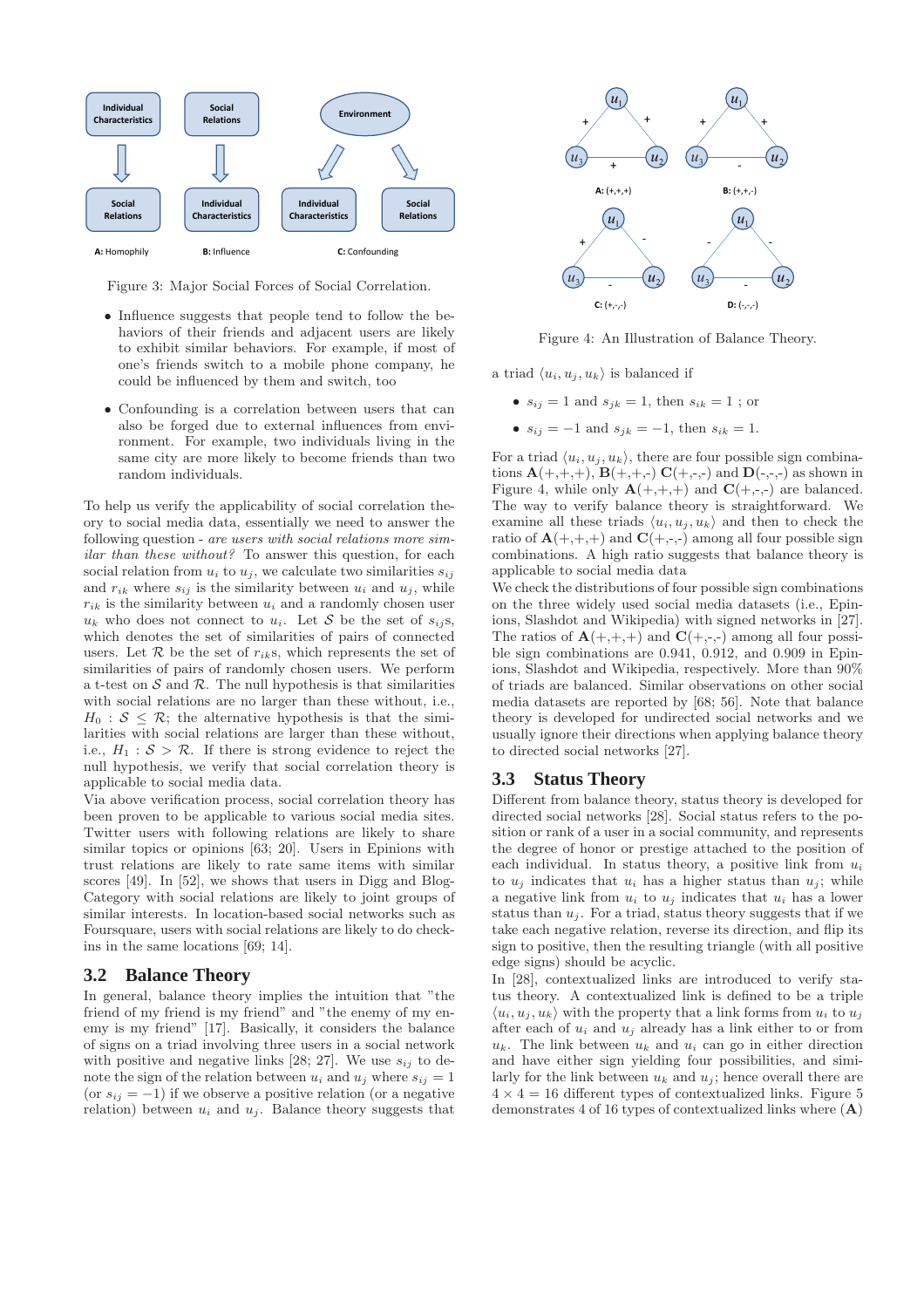

Figure 3: Major Social Forces of Social Correlation.

- Influence suggests that people tend to follow the behaviors of their friends and adjacent users are likely to exhibit similar behaviors. For example, if most of one's friends switch to a mobile phone company, he could be influenced by them and switch, too
- Confounding is a correlation between users that can also be forged due to external influences from environment. For example, two individuals living in the same city are more likely to become friends than two random individuals.

To help us verify the applicability of social correlation theory to social media data, essentially we need to answer the following question - are users with social relations more similar than these without? To answer this question, for each social relation from  $u_i$  to  $u_j$ , we calculate two similarities  $s_{ij}$ and  $r_{ik}$  where  $s_{ij}$  is the similarity between  $u_i$  and  $u_j$ , while  $r_{ik}$  is the similarity between  $u_i$  and a randomly chosen user  $u_k$  who does not connect to  $u_i$ . Let S be the set of  $s_{ij}$ s, which denotes the set of similarities of pairs of connected users. Let  $R$  be the set of  $r_{ik}$ s, which represents the set of similarities of pairs of randomly chosen users. We perform a t-test on  $S$  and  $R$ . The null hypothesis is that similarities with social relations are no larger than these without, i.e.,  $H_0$ :  $S \leq \mathcal{R}$ ; the alternative hypothesis is that the similarities with social relations are larger than these without, i.e.,  $H_1 : S > \mathcal{R}$ . If there is strong evidence to reject the null hypothesis, we verify that social correlation theory is applicable to social media data.

Via above verification process, social correlation theory has been proven to be applicable to various social media sites. Twitter users with following relations are likely to share similar topics or opinions [63; 20]. Users in Epinions with trust relations are likely to rate same items with similar scores [49]. In [52], we shows that users in Digg and Blog-Category with social relations are likely to joint groups of similar interests. In location-based social networks such as Foursquare, users with social relations are likely to do checkins in the same locations [69; 14].

#### **3.2 Balance Theory**

In general, balance theory implies the intuition that "the friend of my friend is my friend" and "the enemy of my enemy is my friend" [17]. Basically, it considers the balance of signs on a triad involving three users in a social network with positive and negative links [28; 27]. We use  $s_{ij}$  to denote the sign of the relation between  $u_i$  and  $u_j$  where  $s_{ij} = 1$ (or  $s_{ij} = -1$ ) if we observe a positive relation (or a negative relation) between  $u_i$  and  $u_j$ . Balance theory suggests that



Figure 4: An Illustration of Balance Theory.

a triad  $\langle u_i, u_j, u_k \rangle$  is balanced if

- $s_{ij} = 1$  and  $s_{jk} = 1$ , then  $s_{ik} = 1$ ; or
- $s_{ij} = -1$  and  $s_{jk} = -1$ , then  $s_{ik} = 1$ .

For a triad  $\langle u_i, u_j, u_k \rangle$ , there are four possible sign combinations  $A(+,+,+)$ ,  $B(+,+,-)$   $C(+,-,-)$  and  $D(-,-,-)$  as shown in Figure 4, while only  $\mathbf{A}(+,+,+)$  and  $\mathbf{C}(+,-)$  are balanced. The way to verify balance theory is straightforward. We examine all these triads  $\langle u_i, u_j, u_k \rangle$  and then to check the ratio of  $\mathbf{A}(+,+,+)$  and  $\mathbf{C}(+,-)$  among all four possible sign combinations. A high ratio suggests that balance theory is applicable to social media data

We check the distributions of four possible sign combinations on the three widely used social media datasets (i.e., Epinions, Slashdot and Wikipedia) with signed networks in [27]. The ratios of  $\mathbf{A}(+,+,+)$  and  $\mathbf{C}(+,-)$  among all four possible sign combinations are 0.941, 0.912, and 0.909 in Epinions, Slashdot and Wikipedia, respectively. More than 90% of triads are balanced. Similar observations on other social media datasets are reported by [68; 56]. Note that balance theory is developed for undirected social networks and we usually ignore their directions when applying balance theory to directed social networks [27].

#### **3.3 Status Theory**

Different from balance theory, status theory is developed for directed social networks [28]. Social status refers to the position or rank of a user in a social community, and represents the degree of honor or prestige attached to the position of each individual. In status theory, a positive link from  $u_i$ to  $u_i$  indicates that  $u_i$  has a higher status than  $u_i$ ; while a negative link from  $u_i$  to  $u_j$  indicates that  $u_i$  has a lower status than  $u_i$ . For a triad, status theory suggests that if we take each negative relation, reverse its direction, and flip its sign to positive, then the resulting triangle (with all positive edge signs) should be acyclic.

In [28], contextualized links are introduced to verify status theory. A contextualized link is defined to be a triple  $\langle u_i, u_j, u_k \rangle$  with the property that a link forms from  $u_i$  to  $u_j$ after each of  $u_i$  and  $u_j$  already has a link either to or from  $u_k$ . The link between  $u_k$  and  $u_i$  can go in either direction and have either sign yielding four possibilities, and similarly for the link between  $u_k$  and  $u_j$ ; hence overall there are  $4 \times 4 = 16$  different types of contextualized links. Figure 5 demonstrates 4 of 16 types of contextualized links where  $(A)$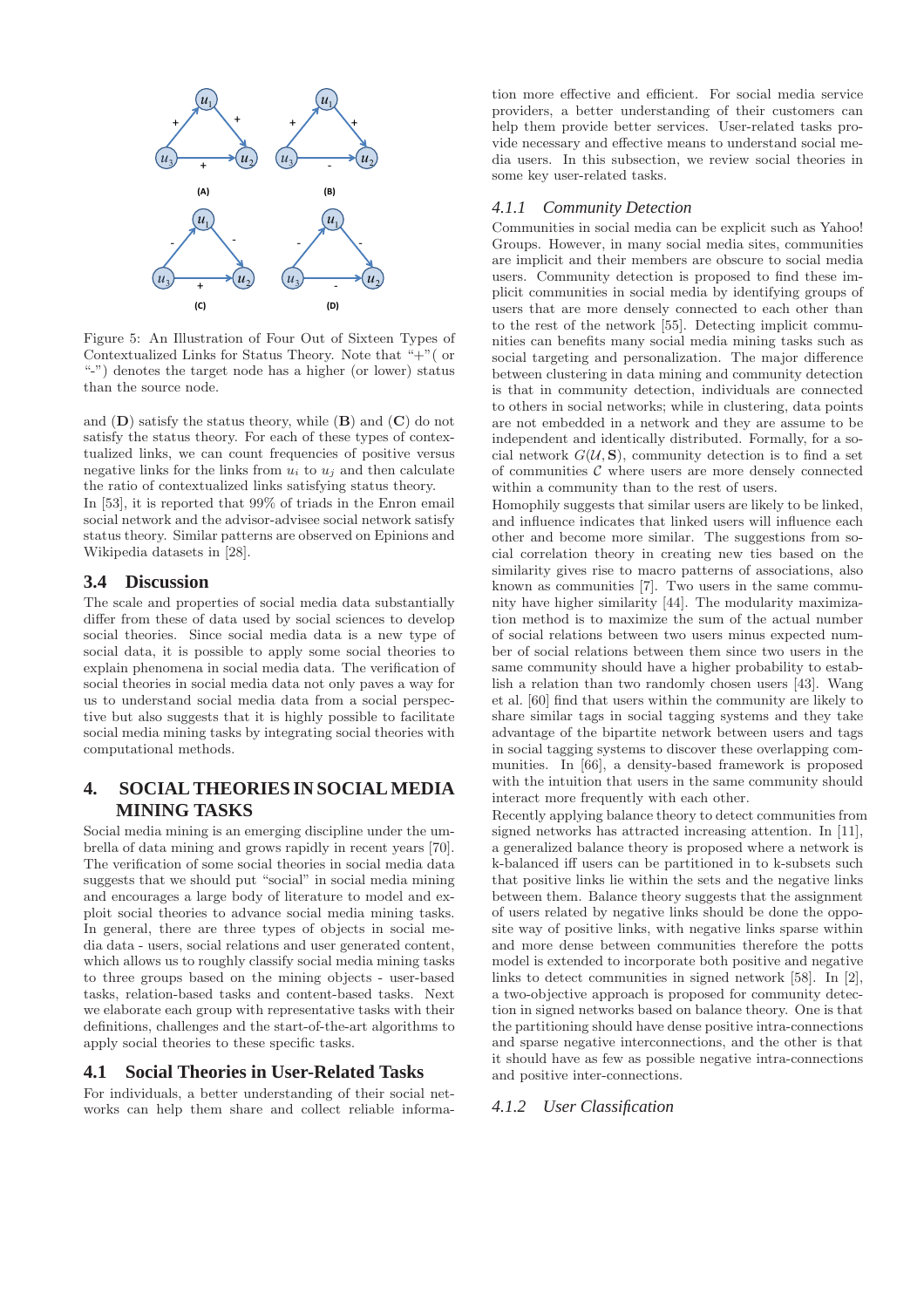

Figure 5: An Illustration of Four Out of Sixteen Types of Contextualized Links for Status Theory. Note that "+"( or "-") denotes the target node has a higher (or lower) status than the source node.

and  $(D)$  satisfy the status theory, while  $(B)$  and  $(C)$  do not satisfy the status theory. For each of these types of contextualized links, we can count frequencies of positive versus negative links for the links from  $u_i$  to  $u_j$  and then calculate the ratio of contextualized links satisfying status theory.

In [53], it is reported that 99% of triads in the Enron email social network and the advisor-advisee social network satisfy status theory. Similar patterns are observed on Epinions and Wikipedia datasets in [28].

#### **3.4 Discussion**

The scale and properties of social media data substantially differ from these of data used by social sciences to develop social theories. Since social media data is a new type of social data, it is possible to apply some social theories to explain phenomena in social media data. The verification of social theories in social media data not only paves a way for us to understand social media data from a social perspective but also suggests that it is highly possible to facilitate social media mining tasks by integrating social theories with computational methods.

# **4. SOCIAL THEORIES IN SOCIAL MEDIA MINING TASKS**

Social media mining is an emerging discipline under the umbrella of data mining and grows rapidly in recent years [70]. The verification of some social theories in social media data suggests that we should put "social" in social media mining and encourages a large body of literature to model and exploit social theories to advance social media mining tasks. In general, there are three types of objects in social media data - users, social relations and user generated content, which allows us to roughly classify social media mining tasks to three groups based on the mining objects - user-based tasks, relation-based tasks and content-based tasks. Next we elaborate each group with representative tasks with their definitions, challenges and the start-of-the-art algorithms to apply social theories to these specific tasks.

#### **4.1 Social Theories in User-Related Tasks**

For individuals, a better understanding of their social networks can help them share and collect reliable information more effective and efficient. For social media service providers, a better understanding of their customers can help them provide better services. User-related tasks provide necessary and effective means to understand social media users. In this subsection, we review social theories in some key user-related tasks.

#### *4.1.1 Community Detection*

Communities in social media can be explicit such as Yahoo! Groups. However, in many social media sites, communities are implicit and their members are obscure to social media users. Community detection is proposed to find these implicit communities in social media by identifying groups of users that are more densely connected to each other than to the rest of the network [55]. Detecting implicit communities can benefits many social media mining tasks such as social targeting and personalization. The major difference between clustering in data mining and community detection is that in community detection, individuals are connected to others in social networks; while in clustering, data points are not embedded in a network and they are assume to be independent and identically distributed. Formally, for a social network  $G(\mathcal{U}, S)$ , community detection is to find a set of communities  $C$  where users are more densely connected within a community than to the rest of users.

Homophily suggests that similar users are likely to be linked, and influence indicates that linked users will influence each other and become more similar. The suggestions from social correlation theory in creating new ties based on the similarity gives rise to macro patterns of associations, also known as communities [7]. Two users in the same community have higher similarity [44]. The modularity maximization method is to maximize the sum of the actual number of social relations between two users minus expected number of social relations between them since two users in the same community should have a higher probability to establish a relation than two randomly chosen users [43]. Wang et al. [60] find that users within the community are likely to share similar tags in social tagging systems and they take advantage of the bipartite network between users and tags in social tagging systems to discover these overlapping communities. In [66], a density-based framework is proposed with the intuition that users in the same community should interact more frequently with each other.

Recently applying balance theory to detect communities from signed networks has attracted increasing attention. In [11], a generalized balance theory is proposed where a network is k-balanced iff users can be partitioned in to k-subsets such that positive links lie within the sets and the negative links between them. Balance theory suggests that the assignment of users related by negative links should be done the opposite way of positive links, with negative links sparse within and more dense between communities therefore the potts model is extended to incorporate both positive and negative links to detect communities in signed network [58]. In [2], a two-objective approach is proposed for community detection in signed networks based on balance theory. One is that the partitioning should have dense positive intra-connections and sparse negative interconnections, and the other is that it should have as few as possible negative intra-connections and positive inter-connections.

#### *4.1.2 User Classification*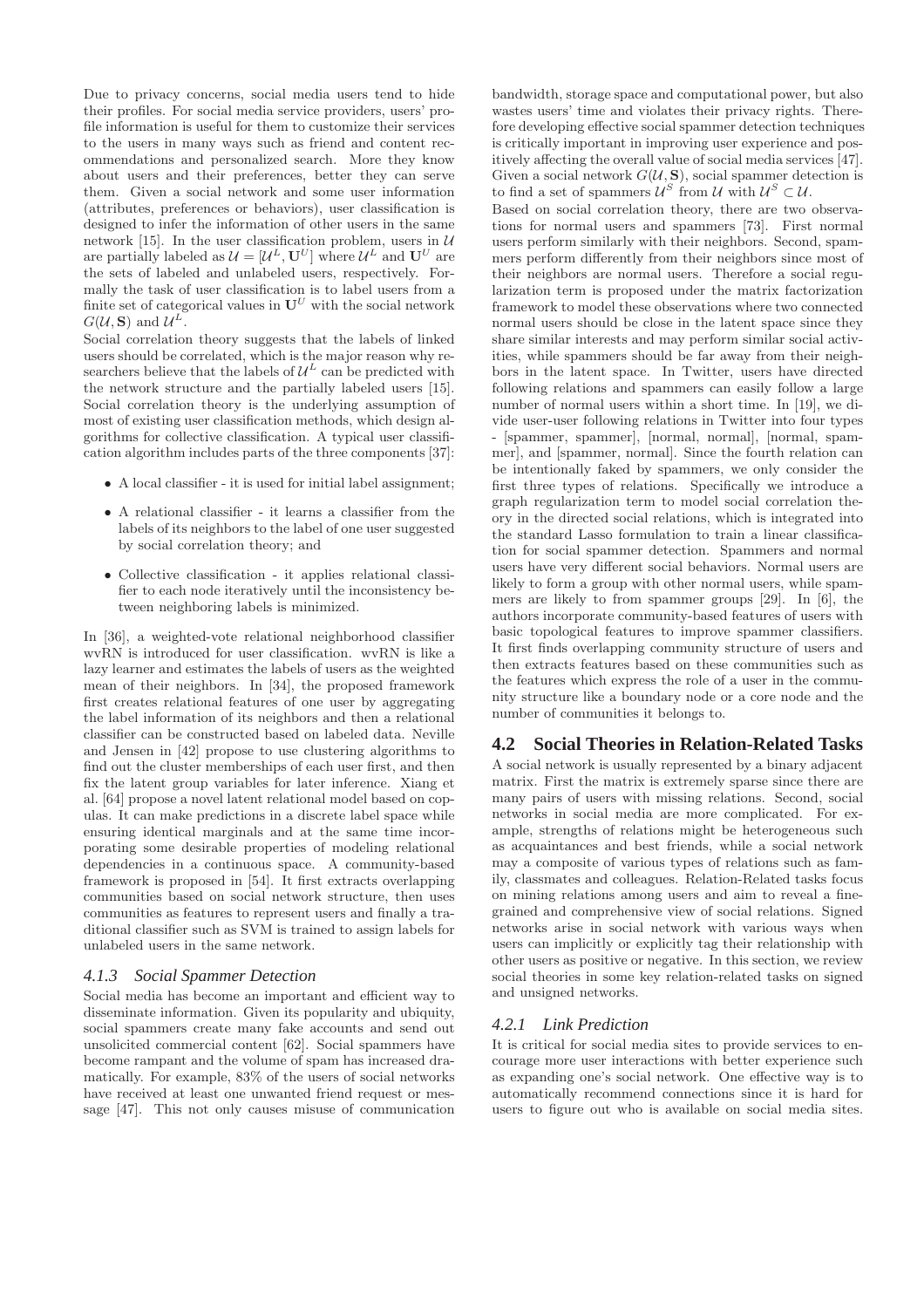Due to privacy concerns, social media users tend to hide their profiles. For social media service providers, users' profile information is useful for them to customize their services to the users in many ways such as friend and content recommendations and personalized search. More they know about users and their preferences, better they can serve them. Given a social network and some user information (attributes, preferences or behaviors), user classification is designed to infer the information of other users in the same network [15]. In the user classification problem, users in  $U$ are partially labeled as  $\mathcal{U} = [\mathcal{U}^L, \mathbf{U}^U]$  where  $\mathcal{U}^L$  and  $\mathbf{U}^U$  are the sets of labeled and unlabeled users, respectively. Formally the task of user classification is to label users from a finite set of categorical values in  $\mathbf{U}^U$  with the social network  $G(\mathcal{U}, \mathbf{S})$  and  $\mathcal{U}^L$ .

Social correlation theory suggests that the labels of linked users should be correlated, which is the major reason why researchers believe that the labels of  $\mathcal{U}^{L}$  can be predicted with the network structure and the partially labeled users [15]. Social correlation theory is the underlying assumption of most of existing user classification methods, which design algorithms for collective classification. A typical user classification algorithm includes parts of the three components [37]:

- A local classifier it is used for initial label assignment;
- A relational classifier it learns a classifier from the labels of its neighbors to the label of one user suggested by social correlation theory; and
- Collective classification it applies relational classifier to each node iteratively until the inconsistency between neighboring labels is minimized.

In [36], a weighted-vote relational neighborhood classifier wvRN is introduced for user classification. wvRN is like a lazy learner and estimates the labels of users as the weighted mean of their neighbors. In [34], the proposed framework first creates relational features of one user by aggregating the label information of its neighbors and then a relational classifier can be constructed based on labeled data. Neville and Jensen in [42] propose to use clustering algorithms to find out the cluster memberships of each user first, and then fix the latent group variables for later inference. Xiang et al. [64] propose a novel latent relational model based on copulas. It can make predictions in a discrete label space while ensuring identical marginals and at the same time incorporating some desirable properties of modeling relational dependencies in a continuous space. A community-based framework is proposed in [54]. It first extracts overlapping communities based on social network structure, then uses communities as features to represent users and finally a traditional classifier such as SVM is trained to assign labels for unlabeled users in the same network.

#### *4.1.3 Social Spammer Detection*

Social media has become an important and efficient way to disseminate information. Given its popularity and ubiquity, social spammers create many fake accounts and send out unsolicited commercial content [62]. Social spammers have become rampant and the volume of spam has increased dramatically. For example, 83% of the users of social networks have received at least one unwanted friend request or message [47]. This not only causes misuse of communication

bandwidth, storage space and computational power, but also wastes users' time and violates their privacy rights. Therefore developing effective social spammer detection techniques is critically important in improving user experience and positively affecting the overall value of social media services [47]. Given a social network  $G(\mathcal{U}, S)$ , social spammer detection is to find a set of spammers  $\mathcal{U}^S$  from U with  $\mathcal{U}^S \subset \mathcal{U}$ .

Based on social correlation theory, there are two observations for normal users and spammers [73]. First normal users perform similarly with their neighbors. Second, spammers perform differently from their neighbors since most of their neighbors are normal users. Therefore a social regularization term is proposed under the matrix factorization framework to model these observations where two connected normal users should be close in the latent space since they share similar interests and may perform similar social activities, while spammers should be far away from their neighbors in the latent space. In Twitter, users have directed following relations and spammers can easily follow a large number of normal users within a short time. In [19], we divide user-user following relations in Twitter into four types - [spammer, spammer], [normal, normal], [normal, spammer], and [spammer, normal]. Since the fourth relation can be intentionally faked by spammers, we only consider the first three types of relations. Specifically we introduce a graph regularization term to model social correlation theory in the directed social relations, which is integrated into the standard Lasso formulation to train a linear classification for social spammer detection. Spammers and normal users have very different social behaviors. Normal users are likely to form a group with other normal users, while spammers are likely to from spammer groups [29]. In [6], the authors incorporate community-based features of users with basic topological features to improve spammer classifiers. It first finds overlapping community structure of users and then extracts features based on these communities such as the features which express the role of a user in the community structure like a boundary node or a core node and the number of communities it belongs to.

# **4.2 Social Theories in Relation-Related Tasks**

A social network is usually represented by a binary adjacent matrix. First the matrix is extremely sparse since there are many pairs of users with missing relations. Second, social networks in social media are more complicated. For example, strengths of relations might be heterogeneous such as acquaintances and best friends, while a social network may a composite of various types of relations such as family, classmates and colleagues. Relation-Related tasks focus on mining relations among users and aim to reveal a finegrained and comprehensive view of social relations. Signed networks arise in social network with various ways when users can implicitly or explicitly tag their relationship with other users as positive or negative. In this section, we review social theories in some key relation-related tasks on signed and unsigned networks.

#### *4.2.1 Link Prediction*

It is critical for social media sites to provide services to encourage more user interactions with better experience such as expanding one's social network. One effective way is to automatically recommend connections since it is hard for users to figure out who is available on social media sites.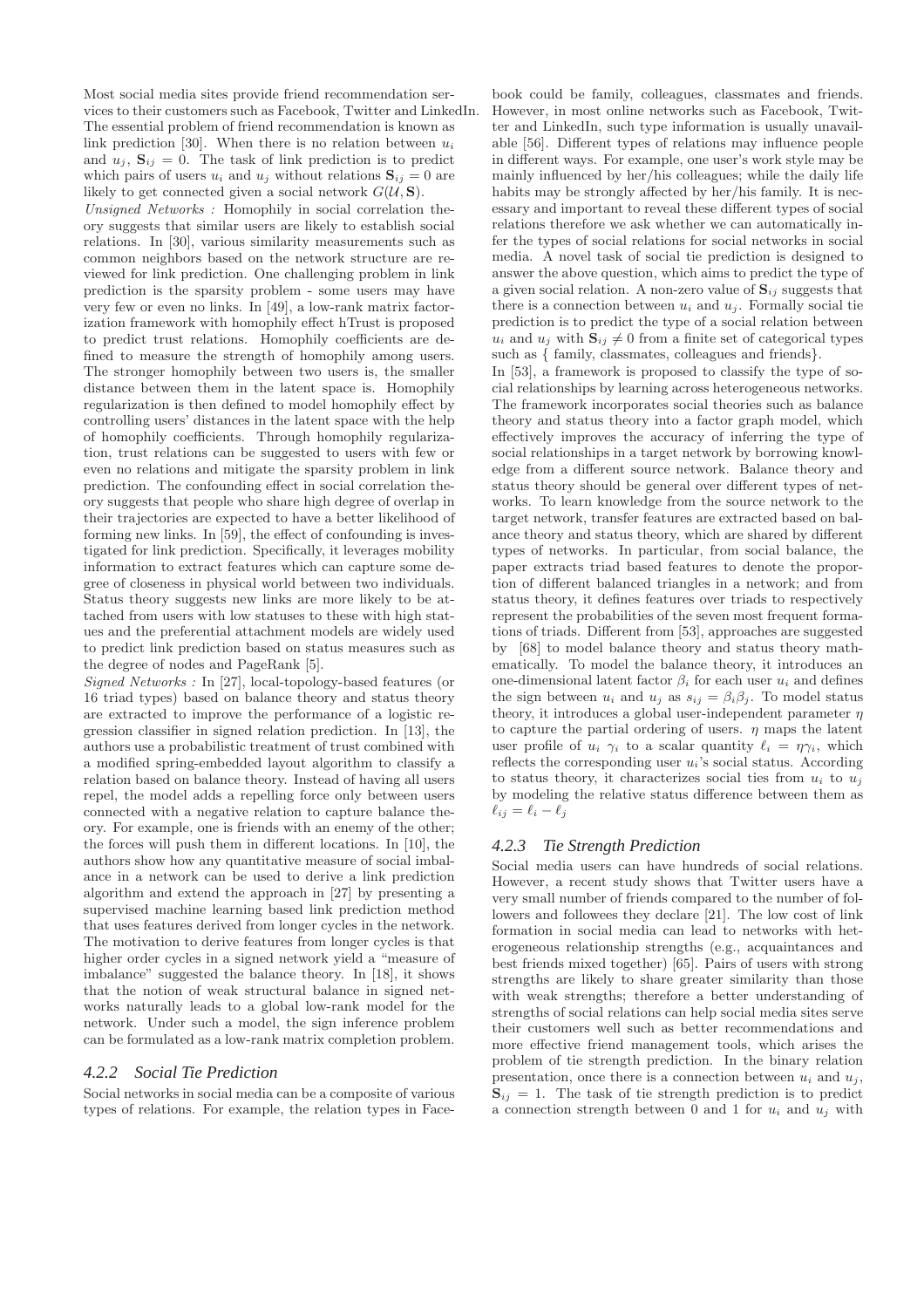Most social media sites provide friend recommendation services to their customers such as Facebook, Twitter and LinkedIn. The essential problem of friend recommendation is known as link prediction [30]. When there is no relation between  $u_i$ and  $u_j$ ,  $S_{ij} = 0$ . The task of link prediction is to predict which pairs of users  $u_i$  and  $u_j$  without relations  $S_{ij} = 0$  are likely to get connected given a social network  $G(\mathcal{U}, \mathbf{S})$ .

Unsigned Networks : Homophily in social correlation theory suggests that similar users are likely to establish social relations. In [30], various similarity measurements such as common neighbors based on the network structure are reviewed for link prediction. One challenging problem in link prediction is the sparsity problem - some users may have very few or even no links. In [49], a low-rank matrix factorization framework with homophily effect hTrust is proposed to predict trust relations. Homophily coefficients are defined to measure the strength of homophily among users. The stronger homophily between two users is, the smaller distance between them in the latent space is. Homophily regularization is then defined to model homophily effect by controlling users' distances in the latent space with the help of homophily coefficients. Through homophily regularization, trust relations can be suggested to users with few or even no relations and mitigate the sparsity problem in link prediction. The confounding effect in social correlation theory suggests that people who share high degree of overlap in their trajectories are expected to have a better likelihood of forming new links. In [59], the effect of confounding is investigated for link prediction. Specifically, it leverages mobility information to extract features which can capture some degree of closeness in physical world between two individuals. Status theory suggests new links are more likely to be attached from users with low statuses to these with high statues and the preferential attachment models are widely used to predict link prediction based on status measures such as the degree of nodes and PageRank [5].

Signed Networks : In [27], local-topology-based features (or 16 triad types) based on balance theory and status theory are extracted to improve the performance of a logistic regression classifier in signed relation prediction. In [13], the authors use a probabilistic treatment of trust combined with a modified spring-embedded layout algorithm to classify a relation based on balance theory. Instead of having all users repel, the model adds a repelling force only between users connected with a negative relation to capture balance theory. For example, one is friends with an enemy of the other; the forces will push them in different locations. In [10], the authors show how any quantitative measure of social imbalance in a network can be used to derive a link prediction algorithm and extend the approach in [27] by presenting a supervised machine learning based link prediction method that uses features derived from longer cycles in the network. The motivation to derive features from longer cycles is that higher order cycles in a signed network yield a "measure of imbalance" suggested the balance theory. In [18], it shows that the notion of weak structural balance in signed networks naturally leads to a global low-rank model for the network. Under such a model, the sign inference problem can be formulated as a low-rank matrix completion problem.

#### *4.2.2 Social Tie Prediction*

Social networks in social media can be a composite of various types of relations. For example, the relation types in Face-

book could be family, colleagues, classmates and friends. However, in most online networks such as Facebook, Twitter and LinkedIn, such type information is usually unavailable [56]. Different types of relations may influence people in different ways. For example, one user's work style may be mainly influenced by her/his colleagues; while the daily life habits may be strongly affected by her/his family. It is necessary and important to reveal these different types of social relations therefore we ask whether we can automatically infer the types of social relations for social networks in social media. A novel task of social tie prediction is designed to answer the above question, which aims to predict the type of a given social relation. A non-zero value of  $S_{ij}$  suggests that there is a connection between  $u_i$  and  $u_j$ . Formally social tie prediction is to predict the type of a social relation between  $u_i$  and  $u_j$  with  $\mathbf{S}_{ij} \neq 0$  from a finite set of categorical types such as  $\{$  family, classmates, colleagues and friends $\}.$ 

In [53], a framework is proposed to classify the type of social relationships by learning across heterogeneous networks. The framework incorporates social theories such as balance theory and status theory into a factor graph model, which effectively improves the accuracy of inferring the type of social relationships in a target network by borrowing knowledge from a different source network. Balance theory and status theory should be general over different types of networks. To learn knowledge from the source network to the target network, transfer features are extracted based on balance theory and status theory, which are shared by different types of networks. In particular, from social balance, the paper extracts triad based features to denote the proportion of different balanced triangles in a network; and from status theory, it defines features over triads to respectively represent the probabilities of the seven most frequent formations of triads. Different from [53], approaches are suggested by [68] to model balance theory and status theory mathematically. To model the balance theory, it introduces an one-dimensional latent factor  $\beta_i$  for each user  $u_i$  and defines the sign between  $u_i$  and  $u_j$  as  $s_{ij} = \beta_i \beta_j$ . To model status theory, it introduces a global user-independent parameter  $\eta$ to capture the partial ordering of users.  $\eta$  maps the latent user profile of  $u_i \gamma_i$  to a scalar quantity  $\ell_i = \eta \gamma_i$ , which reflects the corresponding user  $u_i$ 's social status. According to status theory, it characterizes social ties from  $u_i$  to  $u_j$ by modeling the relative status difference between them as  $\ell_{ij} = \ell_i - \ell_j$ 

#### *4.2.3 Tie Strength Prediction*

Social media users can have hundreds of social relations. However, a recent study shows that Twitter users have a very small number of friends compared to the number of followers and followees they declare [21]. The low cost of link formation in social media can lead to networks with heterogeneous relationship strengths (e.g., acquaintances and best friends mixed together) [65]. Pairs of users with strong strengths are likely to share greater similarity than those with weak strengths; therefore a better understanding of strengths of social relations can help social media sites serve their customers well such as better recommendations and more effective friend management tools, which arises the problem of tie strength prediction. In the binary relation presentation, once there is a connection between  $u_i$  and  $u_j$ ,  $S_{ij} = 1$ . The task of tie strength prediction is to predict a connection strength between 0 and 1 for  $u_i$  and  $u_j$  with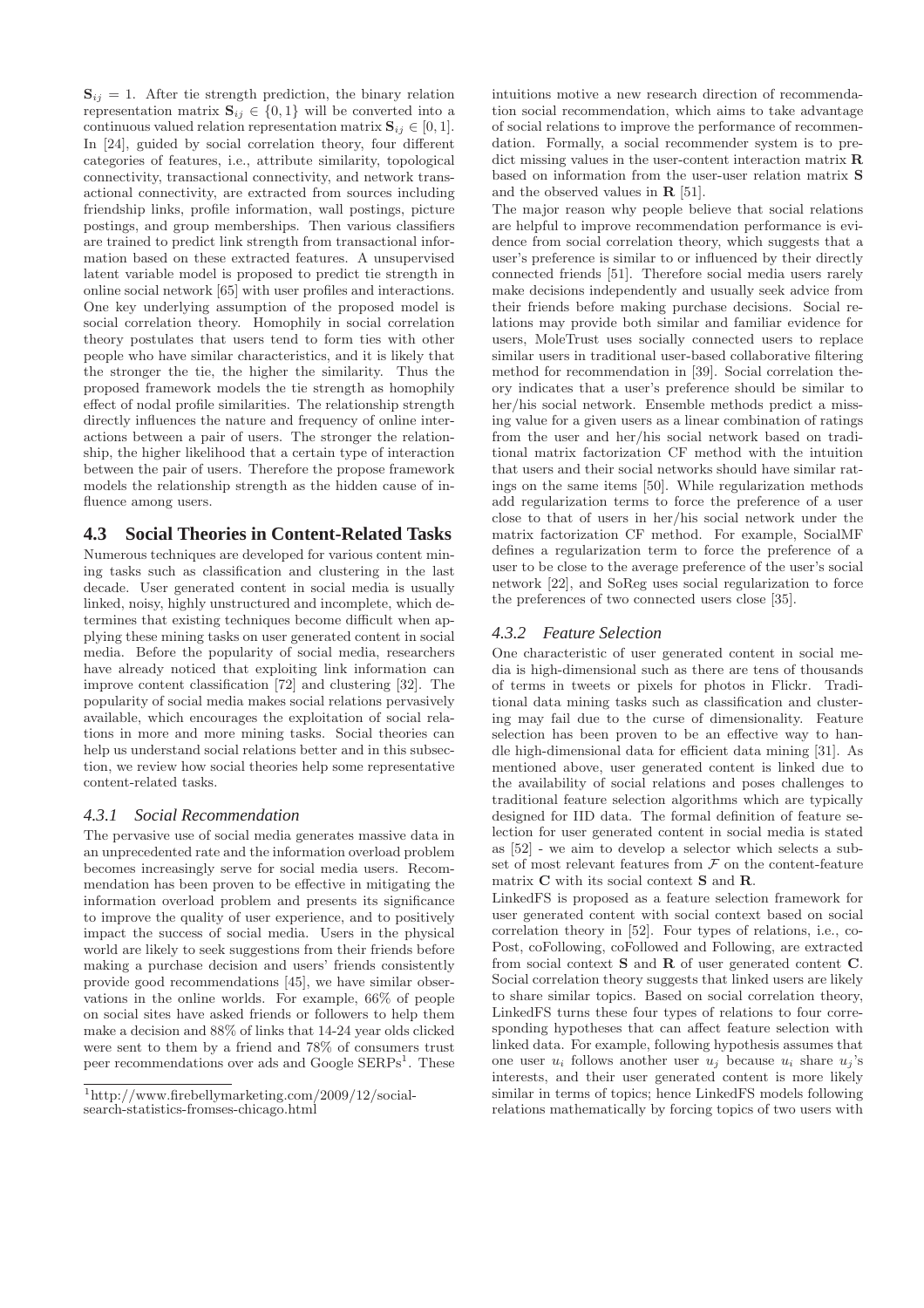$S_{ij} = 1$ . After tie strength prediction, the binary relation representation matrix  $S_{ij} \in \{0,1\}$  will be converted into a continuous valued relation representation matrix  $S_{ij} \in [0, 1]$ . In [24], guided by social correlation theory, four different categories of features, i.e., attribute similarity, topological connectivity, transactional connectivity, and network transactional connectivity, are extracted from sources including friendship links, profile information, wall postings, picture postings, and group memberships. Then various classifiers are trained to predict link strength from transactional information based on these extracted features. A unsupervised latent variable model is proposed to predict tie strength in online social network [65] with user profiles and interactions. One key underlying assumption of the proposed model is social correlation theory. Homophily in social correlation theory postulates that users tend to form ties with other people who have similar characteristics, and it is likely that the stronger the tie, the higher the similarity. Thus the proposed framework models the tie strength as homophily effect of nodal profile similarities. The relationship strength directly influences the nature and frequency of online interactions between a pair of users. The stronger the relationship, the higher likelihood that a certain type of interaction between the pair of users. Therefore the propose framework models the relationship strength as the hidden cause of influence among users.

# **4.3 Social Theories in Content-Related Tasks**

Numerous techniques are developed for various content mining tasks such as classification and clustering in the last decade. User generated content in social media is usually linked, noisy, highly unstructured and incomplete, which determines that existing techniques become difficult when applying these mining tasks on user generated content in social media. Before the popularity of social media, researchers have already noticed that exploiting link information can improve content classification [72] and clustering [32]. The popularity of social media makes social relations pervasively available, which encourages the exploitation of social relations in more and more mining tasks. Social theories can help us understand social relations better and in this subsection, we review how social theories help some representative content-related tasks.

#### *4.3.1 Social Recommendation*

The pervasive use of social media generates massive data in an unprecedented rate and the information overload problem becomes increasingly serve for social media users. Recommendation has been proven to be effective in mitigating the information overload problem and presents its significance to improve the quality of user experience, and to positively impact the success of social media. Users in the physical world are likely to seek suggestions from their friends before making a purchase decision and users' friends consistently provide good recommendations [45], we have similar observations in the online worlds. For example, 66% of people on social sites have asked friends or followers to help them make a decision and 88% of links that 14-24 year olds clicked were sent to them by a friend and 78% of consumers trust peer recommendations over ads and Google SERPs<sup>1</sup>. These

intuitions motive a new research direction of recommendation social recommendation, which aims to take advantage of social relations to improve the performance of recommendation. Formally, a social recommender system is to predict missing values in the user-content interaction matrix **R** based on information from the user-user relation matrix S and the observed values in  $\mathbf{R}$  [51].

The major reason why people believe that social relations are helpful to improve recommendation performance is evidence from social correlation theory, which suggests that a user's preference is similar to or influenced by their directly connected friends [51]. Therefore social media users rarely make decisions independently and usually seek advice from their friends before making purchase decisions. Social relations may provide both similar and familiar evidence for users, MoleTrust uses socially connected users to replace similar users in traditional user-based collaborative filtering method for recommendation in [39]. Social correlation theory indicates that a user's preference should be similar to her/his social network. Ensemble methods predict a missing value for a given users as a linear combination of ratings from the user and her/his social network based on traditional matrix factorization CF method with the intuition that users and their social networks should have similar ratings on the same items [50]. While regularization methods add regularization terms to force the preference of a user close to that of users in her/his social network under the matrix factorization CF method. For example, SocialMF defines a regularization term to force the preference of a user to be close to the average preference of the user's social network [22], and SoReg uses social regularization to force the preferences of two connected users close [35].

### *4.3.2 Feature Selection*

One characteristic of user generated content in social media is high-dimensional such as there are tens of thousands of terms in tweets or pixels for photos in Flickr. Traditional data mining tasks such as classification and clustering may fail due to the curse of dimensionality. Feature selection has been proven to be an effective way to handle high-dimensional data for efficient data mining [31]. As mentioned above, user generated content is linked due to the availability of social relations and poses challenges to traditional feature selection algorithms which are typically designed for IID data. The formal definition of feature selection for user generated content in social media is stated as [52] - we aim to develop a selector which selects a subset of most relevant features from  $F$  on the content-feature matrix C with its social context S and R.

LinkedFS is proposed as a feature selection framework for user generated content with social context based on social correlation theory in [52]. Four types of relations, i.e., co-Post, coFollowing, coFollowed and Following, are extracted from social context  $S$  and  $R$  of user generated content  $C$ . Social correlation theory suggests that linked users are likely to share similar topics. Based on social correlation theory, LinkedFS turns these four types of relations to four corresponding hypotheses that can affect feature selection with linked data. For example, following hypothesis assumes that one user  $u_i$  follows another user  $u_j$  because  $u_i$  share  $u_j$ 's interests, and their user generated content is more likely similar in terms of topics; hence LinkedFS models following relations mathematically by forcing topics of two users with

<sup>1</sup>http://www.firebellymarketing.com/2009/12/socialsearch-statistics-fromses-chicago.html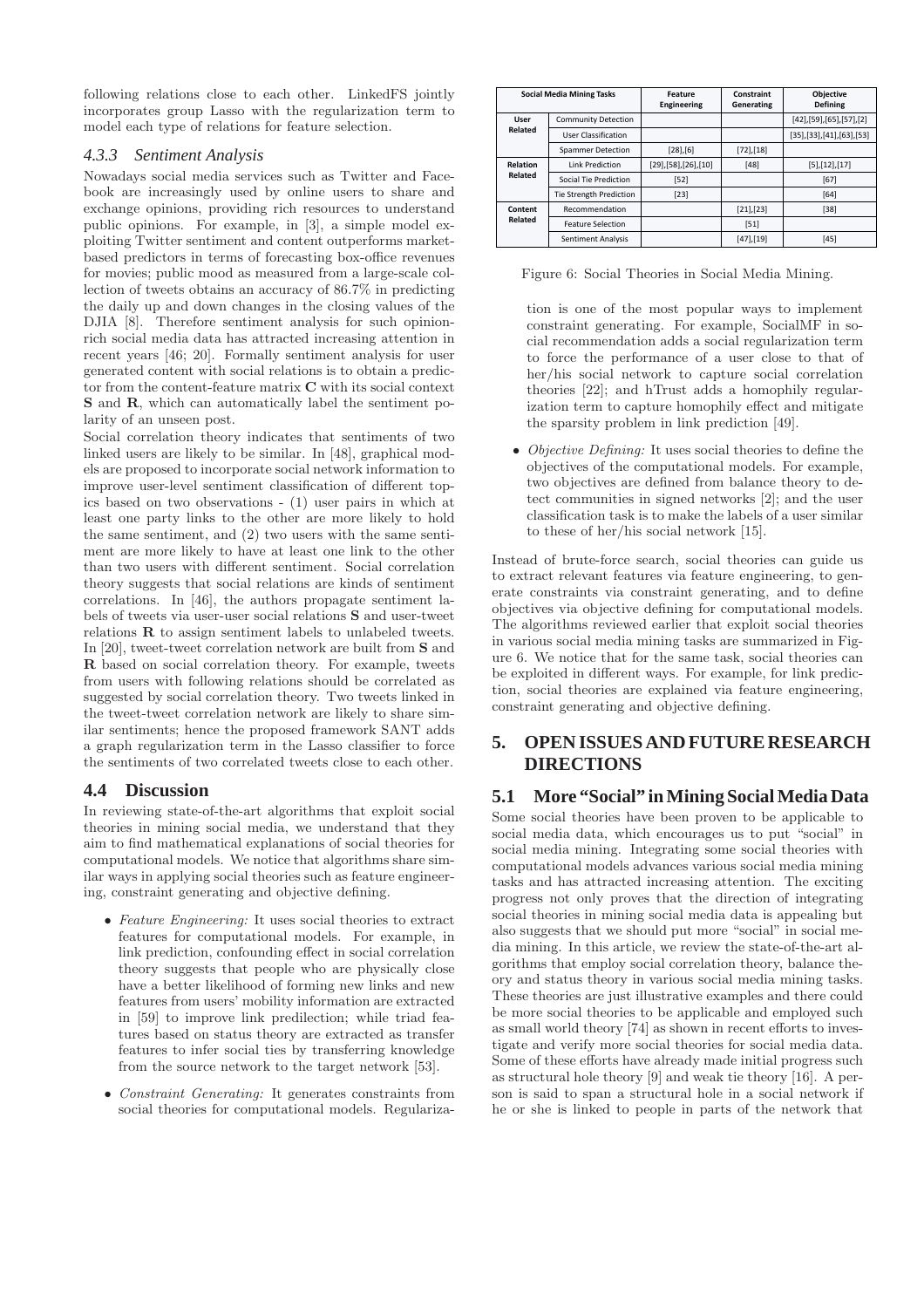following relations close to each other. LinkedFS jointly incorporates group Lasso with the regularization term to model each type of relations for feature selection.

#### *4.3.3 Sentiment Analysis*

Nowadays social media services such as Twitter and Facebook are increasingly used by online users to share and exchange opinions, providing rich resources to understand public opinions. For example, in [3], a simple model exploiting Twitter sentiment and content outperforms marketbased predictors in terms of forecasting box-office revenues for movies; public mood as measured from a large-scale collection of tweets obtains an accuracy of 86.7% in predicting the daily up and down changes in the closing values of the DJIA [8]. Therefore sentiment analysis for such opinionrich social media data has attracted increasing attention in recent years [46; 20]. Formally sentiment analysis for user generated content with social relations is to obtain a predictor from the content-feature matrix C with its social context S and R, which can automatically label the sentiment polarity of an unseen post.

Social correlation theory indicates that sentiments of two linked users are likely to be similar. In [48], graphical models are proposed to incorporate social network information to improve user-level sentiment classification of different topics based on two observations - (1) user pairs in which at least one party links to the other are more likely to hold the same sentiment, and (2) two users with the same sentiment are more likely to have at least one link to the other than two users with different sentiment. Social correlation theory suggests that social relations are kinds of sentiment correlations. In [46], the authors propagate sentiment labels of tweets via user-user social relations S and user-tweet relations R to assign sentiment labels to unlabeled tweets. In [20], tweet-tweet correlation network are built from S and R based on social correlation theory. For example, tweets from users with following relations should be correlated as suggested by social correlation theory. Two tweets linked in the tweet-tweet correlation network are likely to share similar sentiments; hence the proposed framework SANT adds a graph regularization term in the Lasso classifier to force the sentiments of two correlated tweets close to each other.

# **4.4 Discussion**

In reviewing state-of-the-art algorithms that exploit social theories in mining social media, we understand that they aim to find mathematical explanations of social theories for computational models. We notice that algorithms share similar ways in applying social theories such as feature engineering, constraint generating and objective defining.

- Feature Engineering: It uses social theories to extract features for computational models. For example, in link prediction, confounding effect in social correlation theory suggests that people who are physically close have a better likelihood of forming new links and new features from users' mobility information are extracted in [59] to improve link predilection; while triad features based on status theory are extracted as transfer features to infer social ties by transferring knowledge from the source network to the target network [53].
- Constraint Generating: It generates constraints from social theories for computational models. Regulariza-

| <b>Social Media Mining Tasks</b> |                                | Feature<br>Engineering | Constraint<br>Generating | <b>Objective</b><br>Defining |
|----------------------------------|--------------------------------|------------------------|--------------------------|------------------------------|
| User<br>Related                  | <b>Community Detection</b>     |                        |                          | [42],[59],[65],[57],[2]      |
|                                  | <b>User Classification</b>     |                        |                          | [35],[33],[41],[63],[53]     |
|                                  | <b>Spammer Detection</b>       | $[28]$ , $[6]$         | [72],[18]                |                              |
| Relation<br>Related              | <b>Link Prediction</b>         | [29],[58],[26],[10]    | $[48]$                   | [5],[12],[17]                |
|                                  | Social Tie Prediction          | $[52]$                 |                          | $[67]$                       |
|                                  | <b>Tie Strength Prediction</b> | $[23]$                 |                          | [64]                         |
| Content<br>Related               | Recommendation                 |                        | [21],[23]                | $[38]$                       |
|                                  | <b>Feature Selection</b>       |                        | $[51]$                   |                              |
|                                  | <b>Sentiment Analysis</b>      |                        | $[47]$ , [19]            | $[45]$                       |

Figure 6: Social Theories in Social Media Mining.

tion is one of the most popular ways to implement constraint generating. For example, SocialMF in social recommendation adds a social regularization term to force the performance of a user close to that of her/his social network to capture social correlation theories [22]; and hTrust adds a homophily regularization term to capture homophily effect and mitigate the sparsity problem in link prediction [49].

• Objective Defining: It uses social theories to define the objectives of the computational models. For example, two objectives are defined from balance theory to detect communities in signed networks [2]; and the user classification task is to make the labels of a user similar to these of her/his social network [15].

Instead of brute-force search, social theories can guide us to extract relevant features via feature engineering, to generate constraints via constraint generating, and to define objectives via objective defining for computational models. The algorithms reviewed earlier that exploit social theories in various social media mining tasks are summarized in Figure 6. We notice that for the same task, social theories can be exploited in different ways. For example, for link prediction, social theories are explained via feature engineering, constraint generating and objective defining.

# **5. OPEN ISSUES AND FUTURE RESEARCH DIRECTIONS**

# **5.1 More "Social" in Mining Social Media Data**

Some social theories have been proven to be applicable to social media data, which encourages us to put "social" in social media mining. Integrating some social theories with computational models advances various social media mining tasks and has attracted increasing attention. The exciting progress not only proves that the direction of integrating social theories in mining social media data is appealing but also suggests that we should put more "social" in social media mining. In this article, we review the state-of-the-art algorithms that employ social correlation theory, balance theory and status theory in various social media mining tasks. These theories are just illustrative examples and there could be more social theories to be applicable and employed such as small world theory [74] as shown in recent efforts to investigate and verify more social theories for social media data. Some of these efforts have already made initial progress such as structural hole theory [9] and weak tie theory [16]. A person is said to span a structural hole in a social network if he or she is linked to people in parts of the network that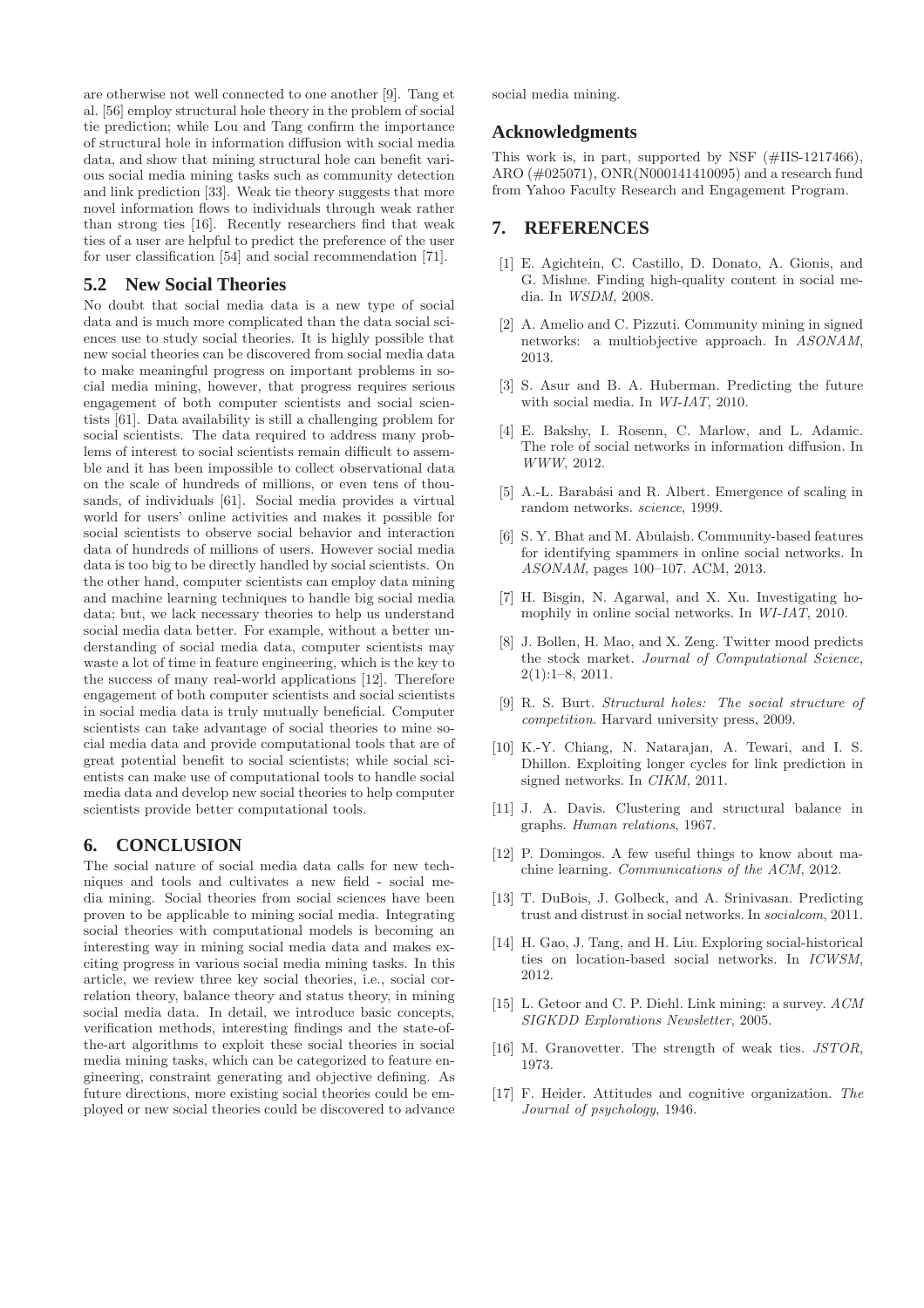are otherwise not well connected to one another [9]. Tang et al. [56] employ structural hole theory in the problem of social tie prediction; while Lou and Tang confirm the importance of structural hole in information diffusion with social media data, and show that mining structural hole can benefit various social media mining tasks such as community detection and link prediction [33]. Weak tie theory suggests that more novel information flows to individuals through weak rather than strong ties [16]. Recently researchers find that weak ties of a user are helpful to predict the preference of the user for user classification [54] and social recommendation [71].

### **5.2 New Social Theories**

No doubt that social media data is a new type of social data and is much more complicated than the data social sciences use to study social theories. It is highly possible that new social theories can be discovered from social media data to make meaningful progress on important problems in social media mining, however, that progress requires serious engagement of both computer scientists and social scientists [61]. Data availability is still a challenging problem for social scientists. The data required to address many problems of interest to social scientists remain difficult to assemble and it has been impossible to collect observational data on the scale of hundreds of millions, or even tens of thousands, of individuals [61]. Social media provides a virtual world for users' online activities and makes it possible for social scientists to observe social behavior and interaction data of hundreds of millions of users. However social media data is too big to be directly handled by social scientists. On the other hand, computer scientists can employ data mining and machine learning techniques to handle big social media data; but, we lack necessary theories to help us understand social media data better. For example, without a better understanding of social media data, computer scientists may waste a lot of time in feature engineering, which is the key to the success of many real-world applications [12]. Therefore engagement of both computer scientists and social scientists in social media data is truly mutually beneficial. Computer scientists can take advantage of social theories to mine social media data and provide computational tools that are of great potential benefit to social scientists; while social scientists can make use of computational tools to handle social media data and develop new social theories to help computer scientists provide better computational tools.

# **6. CONCLUSION**

The social nature of social media data calls for new techniques and tools and cultivates a new field - social media mining. Social theories from social sciences have been proven to be applicable to mining social media. Integrating social theories with computational models is becoming an interesting way in mining social media data and makes exciting progress in various social media mining tasks. In this article, we review three key social theories, i.e., social correlation theory, balance theory and status theory, in mining social media data. In detail, we introduce basic concepts, verification methods, interesting findings and the state-ofthe-art algorithms to exploit these social theories in social media mining tasks, which can be categorized to feature engineering, constraint generating and objective defining. As future directions, more existing social theories could be employed or new social theories could be discovered to advance social media mining.

#### **Acknowledgments**

This work is, in part, supported by NSF  $(\text{\#IIS-1217466}).$ ARO (#025071), ONR(N000141410095) and a research fund from Yahoo Faculty Research and Engagement Program.

# **7. REFERENCES**

- [1] E. Agichtein, C. Castillo, D. Donato, A. Gionis, and G. Mishne. Finding high-quality content in social media. In WSDM, 2008.
- [2] A. Amelio and C. Pizzuti. Community mining in signed networks: a multiobjective approach. In ASONAM, 2013.
- [3] S. Asur and B. A. Huberman. Predicting the future with social media. In WI-IAT, 2010.
- [4] E. Bakshy, I. Rosenn, C. Marlow, and L. Adamic. The role of social networks in information diffusion. In WWW, 2012.
- [5] A.-L. Barabási and R. Albert. Emergence of scaling in random networks. science, 1999.
- [6] S. Y. Bhat and M. Abulaish. Community-based features for identifying spammers in online social networks. In ASONAM, pages 100–107. ACM, 2013.
- [7] H. Bisgin, N. Agarwal, and X. Xu. Investigating homophily in online social networks. In WI-IAT, 2010.
- [8] J. Bollen, H. Mao, and X. Zeng. Twitter mood predicts the stock market. Journal of Computational Science, 2(1):1–8, 2011.
- [9] R. S. Burt. Structural holes: The social structure of competition. Harvard university press, 2009.
- [10] K.-Y. Chiang, N. Natarajan, A. Tewari, and I. S. Dhillon. Exploiting longer cycles for link prediction in signed networks. In CIKM, 2011.
- [11] J. A. Davis. Clustering and structural balance in graphs. Human relations, 1967.
- [12] P. Domingos. A few useful things to know about machine learning. Communications of the ACM, 2012.
- [13] T. DuBois, J. Golbeck, and A. Srinivasan. Predicting trust and distrust in social networks. In socialcom, 2011.
- [14] H. Gao, J. Tang, and H. Liu. Exploring social-historical ties on location-based social networks. In ICWSM, 2012.
- [15] L. Getoor and C. P. Diehl. Link mining: a survey. ACM SIGKDD Explorations Newsletter, 2005.
- [16] M. Granovetter. The strength of weak ties. JSTOR, 1973.
- [17] F. Heider. Attitudes and cognitive organization. The Journal of psychology, 1946.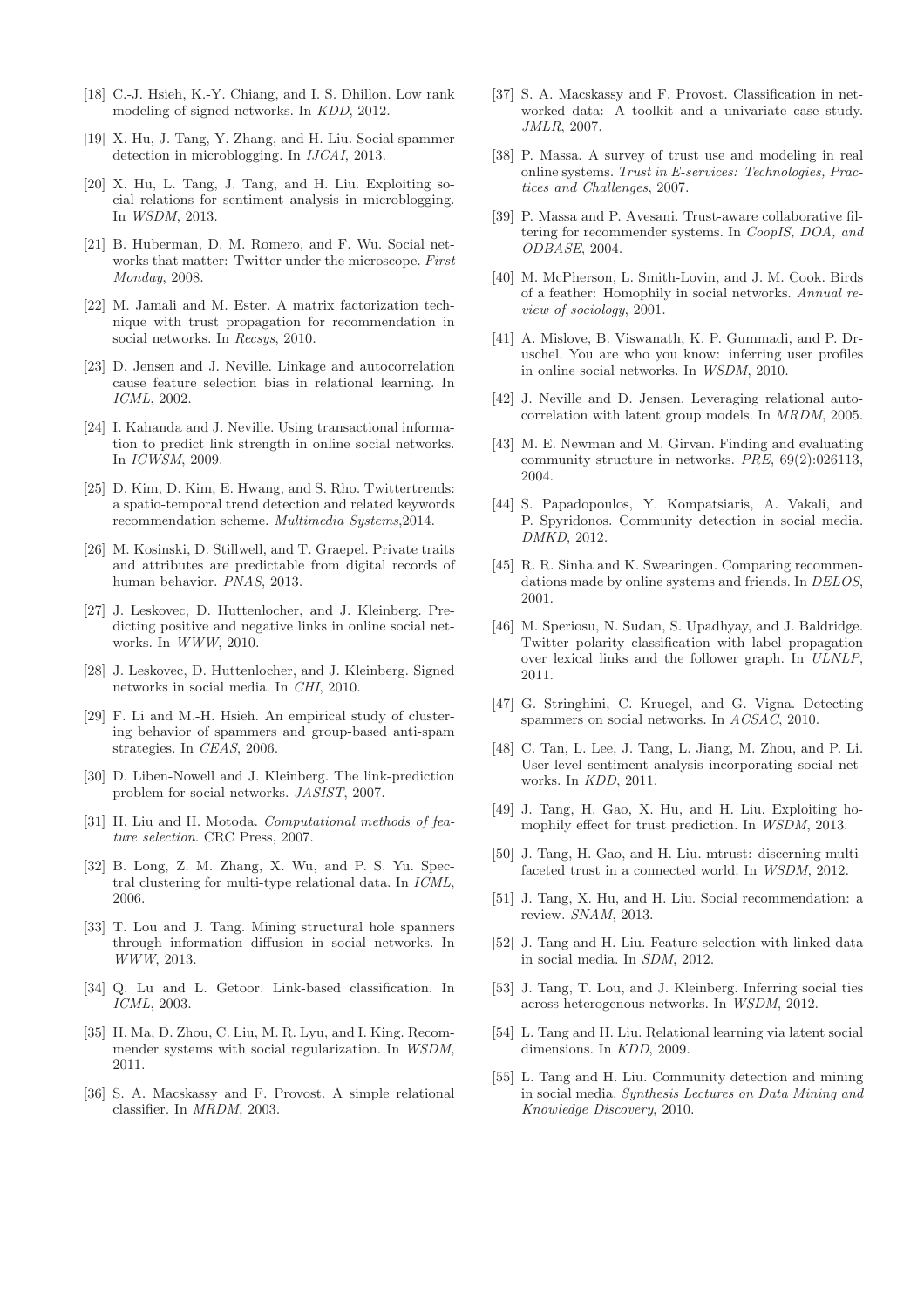- [18] C.-J. Hsieh, K.-Y. Chiang, and I. S. Dhillon. Low rank modeling of signed networks. In KDD, 2012.
- [19] X. Hu, J. Tang, Y. Zhang, and H. Liu. Social spammer detection in microblogging. In IJCAI, 2013.
- [20] X. Hu, L. Tang, J. Tang, and H. Liu. Exploiting social relations for sentiment analysis in microblogging. In WSDM, 2013.
- [21] B. Huberman, D. M. Romero, and F. Wu. Social networks that matter: Twitter under the microscope. First Monday, 2008.
- [22] M. Jamali and M. Ester. A matrix factorization technique with trust propagation for recommendation in social networks. In Recsys, 2010.
- [23] D. Jensen and J. Neville. Linkage and autocorrelation cause feature selection bias in relational learning. In ICML, 2002.
- [24] I. Kahanda and J. Neville. Using transactional information to predict link strength in online social networks. In ICWSM, 2009.
- [25] D. Kim, D. Kim, E. Hwang, and S. Rho. Twittertrends: a spatio-temporal trend detection and related keywords recommendation scheme. Multimedia Systems,2014.
- [26] M. Kosinski, D. Stillwell, and T. Graepel. Private traits and attributes are predictable from digital records of human behavior. PNAS, 2013.
- [27] J. Leskovec, D. Huttenlocher, and J. Kleinberg. Predicting positive and negative links in online social networks. In WWW, 2010.
- [28] J. Leskovec, D. Huttenlocher, and J. Kleinberg. Signed networks in social media. In CHI, 2010.
- [29] F. Li and M.-H. Hsieh. An empirical study of clustering behavior of spammers and group-based anti-spam strategies. In CEAS, 2006.
- [30] D. Liben-Nowell and J. Kleinberg. The link-prediction problem for social networks. JASIST, 2007.
- [31] H. Liu and H. Motoda. Computational methods of feature selection. CRC Press, 2007.
- [32] B. Long, Z. M. Zhang, X. Wu, and P. S. Yu. Spectral clustering for multi-type relational data. In ICML, 2006.
- [33] T. Lou and J. Tang. Mining structural hole spanners through information diffusion in social networks. In WWW, 2013.
- [34] Q. Lu and L. Getoor. Link-based classification. In ICML, 2003.
- [35] H. Ma, D. Zhou, C. Liu, M. R. Lyu, and I. King. Recommender systems with social regularization. In WSDM, 2011.
- [36] S. A. Macskassy and F. Provost. A simple relational classifier. In MRDM, 2003.
- [37] S. A. Macskassy and F. Provost. Classification in networked data: A toolkit and a univariate case study. JMLR, 2007.
- [38] P. Massa. A survey of trust use and modeling in real online systems. Trust in E-services: Technologies, Practices and Challenges, 2007.
- [39] P. Massa and P. Avesani. Trust-aware collaborative filtering for recommender systems. In CoopIS, DOA, and ODBASE, 2004.
- [40] M. McPherson, L. Smith-Lovin, and J. M. Cook. Birds of a feather: Homophily in social networks. Annual review of sociology, 2001.
- [41] A. Mislove, B. Viswanath, K. P. Gummadi, and P. Druschel. You are who you know: inferring user profiles in online social networks. In WSDM, 2010.
- [42] J. Neville and D. Jensen. Leveraging relational autocorrelation with latent group models. In MRDM, 2005.
- [43] M. E. Newman and M. Girvan. Finding and evaluating community structure in networks. PRE, 69(2):026113, 2004.
- [44] S. Papadopoulos, Y. Kompatsiaris, A. Vakali, and P. Spyridonos. Community detection in social media. DMKD, 2012.
- [45] R. R. Sinha and K. Swearingen. Comparing recommendations made by online systems and friends. In DELOS, 2001.
- [46] M. Speriosu, N. Sudan, S. Upadhyay, and J. Baldridge. Twitter polarity classification with label propagation over lexical links and the follower graph. In ULNLP, 2011.
- [47] G. Stringhini, C. Kruegel, and G. Vigna. Detecting spammers on social networks. In ACSAC, 2010.
- [48] C. Tan, L. Lee, J. Tang, L. Jiang, M. Zhou, and P. Li. User-level sentiment analysis incorporating social networks. In KDD, 2011.
- [49] J. Tang, H. Gao, X. Hu, and H. Liu. Exploiting homophily effect for trust prediction. In WSDM, 2013.
- [50] J. Tang, H. Gao, and H. Liu. mtrust: discerning multifaceted trust in a connected world. In WSDM, 2012.
- [51] J. Tang, X. Hu, and H. Liu. Social recommendation: a review. SNAM, 2013.
- [52] J. Tang and H. Liu. Feature selection with linked data in social media. In SDM, 2012.
- [53] J. Tang, T. Lou, and J. Kleinberg. Inferring social ties across heterogenous networks. In WSDM, 2012.
- [54] L. Tang and H. Liu. Relational learning via latent social dimensions. In KDD, 2009.
- [55] L. Tang and H. Liu. Community detection and mining in social media. Synthesis Lectures on Data Mining and Knowledge Discovery, 2010.